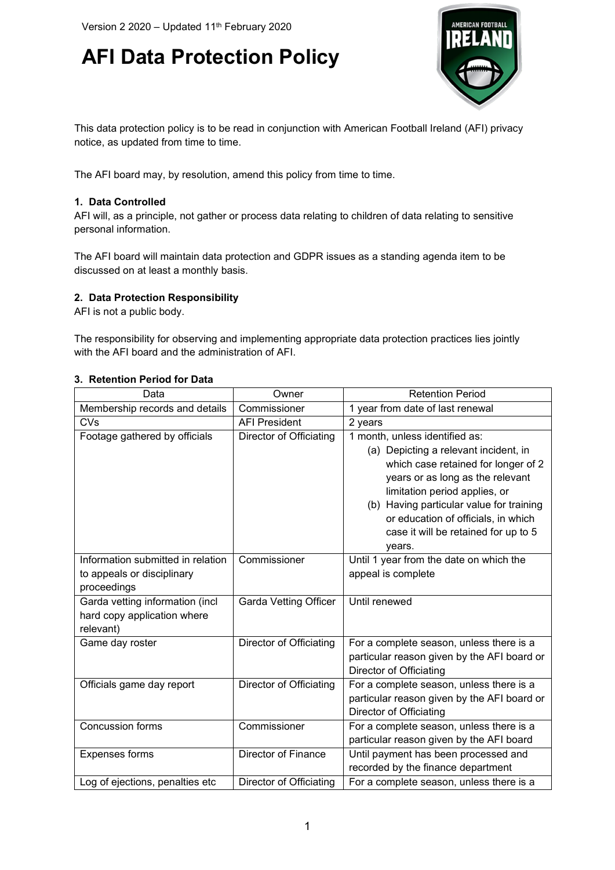## **AFI Data Protection Policy**



This data protection policy is to be read in conjunction with American Football Ireland (AFI) privacy notice, as updated from time to time.

The AFI board may, by resolution, amend this policy from time to time.

## **1. Data Controlled**

AFI will, as a principle, not gather or process data relating to children of data relating to sensitive personal information.

The AFI board will maintain data protection and GDPR issues as a standing agenda item to be discussed on at least a monthly basis.

## **2. Data Protection Responsibility**

AFI is not a public body.

The responsibility for observing and implementing appropriate data protection practices lies jointly with the AFI board and the administration of AFI.

## **3. Retention Period for Data**

| Data                                                                           | Owner                        | <b>Retention Period</b>                                                                                                                                                                                                                                                                                                  |
|--------------------------------------------------------------------------------|------------------------------|--------------------------------------------------------------------------------------------------------------------------------------------------------------------------------------------------------------------------------------------------------------------------------------------------------------------------|
| Membership records and details                                                 | Commissioner                 | 1 year from date of last renewal                                                                                                                                                                                                                                                                                         |
| <b>CVs</b>                                                                     | <b>AFI President</b>         | 2 years                                                                                                                                                                                                                                                                                                                  |
| Footage gathered by officials                                                  | Director of Officiating      | 1 month, unless identified as:<br>(a) Depicting a relevant incident, in<br>which case retained for longer of 2<br>years or as long as the relevant<br>limitation period applies, or<br>(b) Having particular value for training<br>or education of officials, in which<br>case it will be retained for up to 5<br>years. |
| Information submitted in relation<br>to appeals or disciplinary<br>proceedings | Commissioner                 | Until 1 year from the date on which the<br>appeal is complete                                                                                                                                                                                                                                                            |
| Garda vetting information (incl<br>hard copy application where<br>relevant)    | <b>Garda Vetting Officer</b> | Until renewed                                                                                                                                                                                                                                                                                                            |
| Game day roster                                                                | Director of Officiating      | For a complete season, unless there is a<br>particular reason given by the AFI board or<br>Director of Officiating                                                                                                                                                                                                       |
| Officials game day report                                                      | Director of Officiating      | For a complete season, unless there is a<br>particular reason given by the AFI board or<br>Director of Officiating                                                                                                                                                                                                       |
| <b>Concussion forms</b>                                                        | Commissioner                 | For a complete season, unless there is a<br>particular reason given by the AFI board                                                                                                                                                                                                                                     |
| <b>Expenses forms</b>                                                          | Director of Finance          | Until payment has been processed and<br>recorded by the finance department                                                                                                                                                                                                                                               |
| Log of ejections, penalties etc                                                | Director of Officiating      | For a complete season, unless there is a                                                                                                                                                                                                                                                                                 |